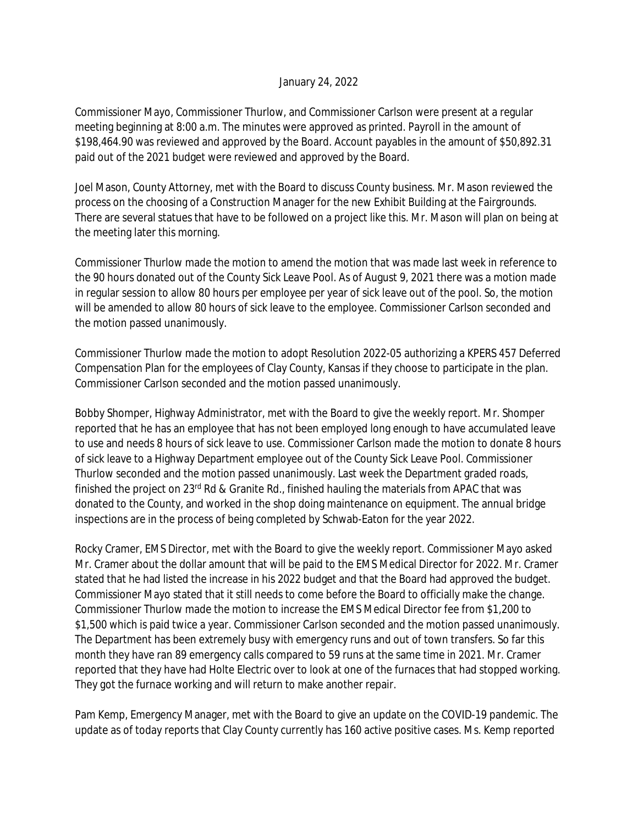## January 24, 2022

Commissioner Mayo, Commissioner Thurlow, and Commissioner Carlson were present at a regular meeting beginning at 8:00 a.m. The minutes were approved as printed. Payroll in the amount of \$198,464.90 was reviewed and approved by the Board. Account payables in the amount of \$50,892.31 paid out of the 2021 budget were reviewed and approved by the Board.

Joel Mason, County Attorney, met with the Board to discuss County business. Mr. Mason reviewed the process on the choosing of a Construction Manager for the new Exhibit Building at the Fairgrounds. There are several statues that have to be followed on a project like this. Mr. Mason will plan on being at the meeting later this morning.

Commissioner Thurlow made the motion to amend the motion that was made last week in reference to the 90 hours donated out of the County Sick Leave Pool. As of August 9, 2021 there was a motion made in regular session to allow 80 hours per employee per year of sick leave out of the pool. So, the motion will be amended to allow 80 hours of sick leave to the employee. Commissioner Carlson seconded and the motion passed unanimously.

Commissioner Thurlow made the motion to adopt Resolution 2022-05 authorizing a KPERS 457 Deferred Compensation Plan for the employees of Clay County, Kansas if they choose to participate in the plan. Commissioner Carlson seconded and the motion passed unanimously.

Bobby Shomper, Highway Administrator, met with the Board to give the weekly report. Mr. Shomper reported that he has an employee that has not been employed long enough to have accumulated leave to use and needs 8 hours of sick leave to use. Commissioner Carlson made the motion to donate 8 hours of sick leave to a Highway Department employee out of the County Sick Leave Pool. Commissioner Thurlow seconded and the motion passed unanimously. Last week the Department graded roads, finished the project on 23<sup>rd</sup> Rd & Granite Rd., finished hauling the materials from APAC that was donated to the County, and worked in the shop doing maintenance on equipment. The annual bridge inspections are in the process of being completed by Schwab-Eaton for the year 2022.

Rocky Cramer, EMS Director, met with the Board to give the weekly report. Commissioner Mayo asked Mr. Cramer about the dollar amount that will be paid to the EMS Medical Director for 2022. Mr. Cramer stated that he had listed the increase in his 2022 budget and that the Board had approved the budget. Commissioner Mayo stated that it still needs to come before the Board to officially make the change. Commissioner Thurlow made the motion to increase the EMS Medical Director fee from \$1,200 to \$1,500 which is paid twice a year. Commissioner Carlson seconded and the motion passed unanimously. The Department has been extremely busy with emergency runs and out of town transfers. So far this month they have ran 89 emergency calls compared to 59 runs at the same time in 2021. Mr. Cramer reported that they have had Holte Electric over to look at one of the furnaces that had stopped working. They got the furnace working and will return to make another repair.

Pam Kemp, Emergency Manager, met with the Board to give an update on the COVID-19 pandemic. The update as of today reports that Clay County currently has 160 active positive cases. Ms. Kemp reported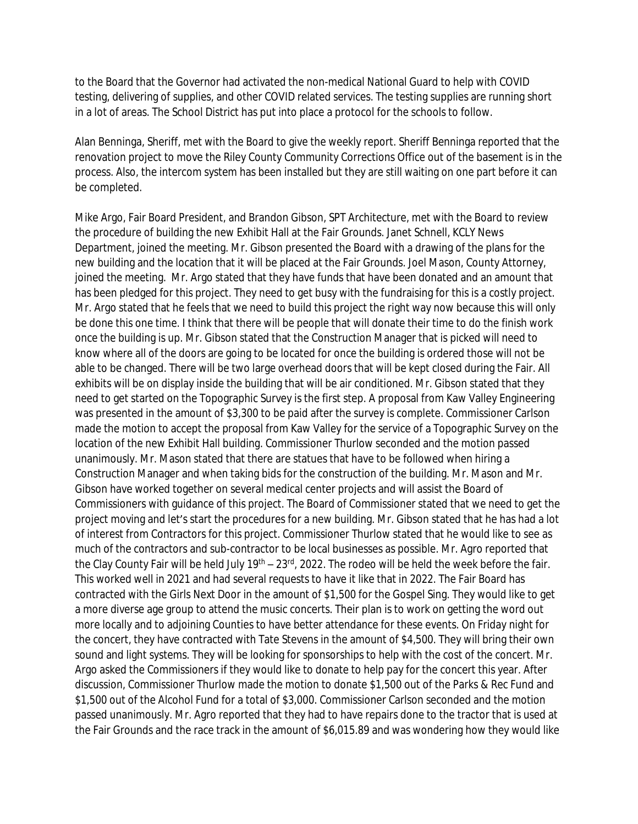to the Board that the Governor had activated the non-medical National Guard to help with COVID testing, delivering of supplies, and other COVID related services. The testing supplies are running short in a lot of areas. The School District has put into place a protocol for the schools to follow.

Alan Benninga, Sheriff, met with the Board to give the weekly report. Sheriff Benninga reported that the renovation project to move the Riley County Community Corrections Office out of the basement is in the process. Also, the intercom system has been installed but they are still waiting on one part before it can be completed.

Mike Argo, Fair Board President, and Brandon Gibson, SPT Architecture, met with the Board to review the procedure of building the new Exhibit Hall at the Fair Grounds. Janet Schnell, KCLY News Department, joined the meeting. Mr. Gibson presented the Board with a drawing of the plans for the new building and the location that it will be placed at the Fair Grounds. Joel Mason, County Attorney, joined the meeting. Mr. Argo stated that they have funds that have been donated and an amount that has been pledged for this project. They need to get busy with the fundraising for this is a costly project. Mr. Argo stated that he feels that we need to build this project the right way now because this will only be done this one time. I think that there will be people that will donate their time to do the finish work once the building is up. Mr. Gibson stated that the Construction Manager that is picked will need to know where all of the doors are going to be located for once the building is ordered those will not be able to be changed. There will be two large overhead doors that will be kept closed during the Fair. All exhibits will be on display inside the building that will be air conditioned. Mr. Gibson stated that they need to get started on the Topographic Survey is the first step. A proposal from Kaw Valley Engineering was presented in the amount of \$3,300 to be paid after the survey is complete. Commissioner Carlson made the motion to accept the proposal from Kaw Valley for the service of a Topographic Survey on the location of the new Exhibit Hall building. Commissioner Thurlow seconded and the motion passed unanimously. Mr. Mason stated that there are statues that have to be followed when hiring a Construction Manager and when taking bids for the construction of the building. Mr. Mason and Mr. Gibson have worked together on several medical center projects and will assist the Board of Commissioners with guidance of this project. The Board of Commissioner stated that we need to get the project moving and let's start the procedures for a new building. Mr. Gibson stated that he has had a lot of interest from Contractors for this project. Commissioner Thurlow stated that he would like to see as much of the contractors and sub-contractor to be local businesses as possible. Mr. Agro reported that the Clay County Fair will be held July 19<sup>th</sup> – 23<sup>rd</sup>, 2022. The rodeo will be held the week before the fair. This worked well in 2021 and had several requests to have it like that in 2022. The Fair Board has contracted with the Girls Next Door in the amount of \$1,500 for the Gospel Sing. They would like to get a more diverse age group to attend the music concerts. Their plan is to work on getting the word out more locally and to adjoining Counties to have better attendance for these events. On Friday night for the concert, they have contracted with Tate Stevens in the amount of \$4,500. They will bring their own sound and light systems. They will be looking for sponsorships to help with the cost of the concert. Mr. Argo asked the Commissioners if they would like to donate to help pay for the concert this year. After discussion, Commissioner Thurlow made the motion to donate \$1,500 out of the Parks & Rec Fund and \$1,500 out of the Alcohol Fund for a total of \$3,000. Commissioner Carlson seconded and the motion passed unanimously. Mr. Agro reported that they had to have repairs done to the tractor that is used at the Fair Grounds and the race track in the amount of \$6,015.89 and was wondering how they would like